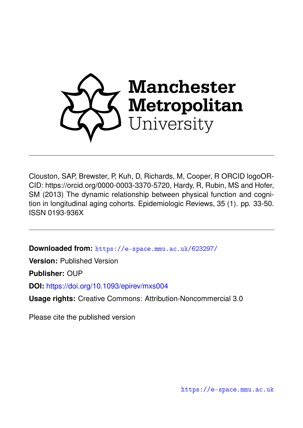

Clouston, SAP, Brewster, P, Kuh, D, Richards, M, Cooper, R ORCID logoOR-CID: https://orcid.org/0000-0003-3370-5720, Hardy, R, Rubin, MS and Hofer, SM (2013) The dynamic relationship between physical function and cognition in longitudinal aging cohorts. Epidemiologic Reviews, 35 (1). pp. 33-50. ISSN 0193-936X

**Downloaded from:** <https://e-space.mmu.ac.uk/623297/>

**Version:** Published Version

**Publisher:** OUP

**DOI:** <https://doi.org/10.1093/epirev/mxs004>

**Usage rights:** Creative Commons: Attribution-Noncommercial 3.0

Please cite the published version

<https://e-space.mmu.ac.uk>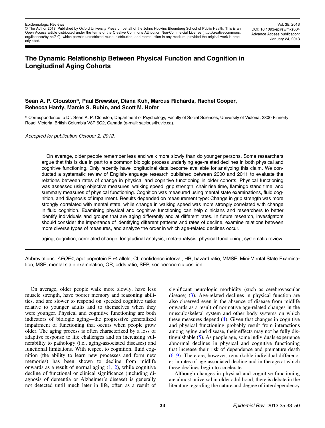© The Author 2013. Published by Oxford University Press on behalf of the Johns Hopkins Bloomberg School of Public Health. This is an Open Access article distributed under the terms of the Creative Commons Attribution Non-Commercial License (http://creativecommons. org/licenses/by-nc/3.0), which permits unrestricted reuse, distribution, and reproduction in any medium, provided the original work is properly cited.

Vol. 35, 2013 DOI: 10.1093/epirev/mxs004 Advance Access publication: January 24, 2013

# The Dynamic Relationship Between Physical Function and Cognition in Longitudinal Aging Cohorts

## Sean A. P. Clouston\*, Paul Brewster, Diana Kuh, Marcus Richards, Rachel Cooper, Rebecca Hardy, Marcie S. Rubin, and Scott M. Hofer

\* Correspondence to Dr. Sean A. P. Clouston, Department of Psychology, Faculty of Social Sciences, University of Victoria, 3800 Finnerty Road, Victoria, British Columbia V8P 5C2, Canada (e-mail: saclous@uvic.ca).

Accepted for publication October 2, 2012.

On average, older people remember less and walk more slowly than do younger persons. Some researchers argue that this is due in part to a common biologic process underlying age-related declines in both physical and cognitive functioning. Only recently have longitudinal data become available for analyzing this claim. We conducted a systematic review of English-language research published between 2000 and 2011 to evaluate the relations between rates of change in physical and cognitive functioning in older cohorts. Physical functioning was assessed using objective measures: walking speed, grip strength, chair rise time, flamingo stand time, and summary measures of physical functioning. Cognition was measured using mental state examinations, fluid cognition, and diagnosis of impairment. Results depended on measurement type: Change in grip strength was more strongly correlated with mental state, while change in walking speed was more strongly correlated with change in fluid cognition. Examining physical and cognitive functioning can help clinicians and researchers to better identify individuals and groups that are aging differently and at different rates. In future research, investigators should consider the importance of identifying different patterns and rates of decline, examine relations between more diverse types of measures, and analyze the order in which age-related declines occur.

aging; cognition; correlated change; longitudinal analysis; meta-analysis; physical functioning; systematic review

Abbreviations: APOE4, apolipoprotein E  $\varepsilon$ 4 allele; CI, confidence interval; HR, hazard ratio; MMSE, Mini-Mental State Examination; MSE, mental state examination; OR, odds ratio; SEP, socioeconomic position.

On average, older people walk more slowly, have less muscle strength, have poorer memory and reasoning abilities, and are slower to respond on speeded cognitive tasks relative to younger adults and to themselves when they were younger. Physical and cognitive functioning are both indicators of biologic aging—the progressive generalized impairment of functioning that occurs when people grow older. The aging process is often characterized by a loss of adaptive response to life challenges and an increasing vulnerability to pathology (i.e., aging-associated diseases) and functional limitations. With respect to cognition, fluid cognition (the ability to learn new processes and form new memories) has been shown to decline from midlife onwards as a result of normal aging  $(1, 2)$  $(1, 2)$  $(1, 2)$  $(1, 2)$ , while cognitive decline of functional or clinical significance (including diagnosis of dementia or Alzheimer's disease) is generally not detected until much later in life, often as a result of

significant neurologic morbidity (such as cerebrovascular disease) [\(3](#page-16-0)). Age-related declines in physical function are also observed even in the absence of disease from midlife onwards as a result of normative age-related changes in the musculoskeletal system and other body systems on which these measures depend ([4](#page-16-0)). Given that changes in cognitive and physical functioning probably result from interactions among aging and disease, their effects may not be fully distinguishable ([5\)](#page-16-0). As people age, some individuals experience abnormal declines in physical and cognitive functioning that increase their risk of dependence and premature death [\(6](#page-16-0)–[9](#page-16-0)). There are, however, remarkable individual differences in rates of age-associated decline and in the age at which these declines begin to accelerate.

Although changes in physical and cognitive functioning are almost universal in older adulthood, there is debate in the literature regarding the nature and degree of interdependency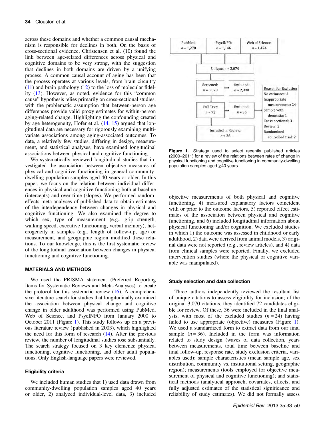across these domains and whether a common causal mechanism is responsible for declines in both. On the basis of cross-sectional evidence, Christensen et al. (10) found the link between age-related differences across physical and cognitive domains to be very strong, with the suggestion that declines in both domains are driven by a unifying process. A common causal account of aging has been that the process operates at various levels, from brain circuitry [\(11](#page-16-0)) and brain pathology ([12\)](#page-16-0) to the loss of molecular fidelity [\(13](#page-16-0)). However, as noted, evidence for this "common cause" hypothesis relies primarily on cross-sectional studies, with the problematic assumption that between-person age differences provide valid proxy estimates for within-person aging-related change. Highlighting the confounding created by age heterogeneity, Hofer et al. [\(14](#page-16-0), [15](#page-16-0)) argued that longitudinal data are necessary for rigorously examining multivariate associations among aging-associated outcomes. To date, a relatively few studies, differing in design, measurement, and statistical analyses, have examined longitudinal associations between physical and cognitive functioning.

We systematically reviewed longitudinal studies that investigated the association between objective measures of physical and cognitive functioning in general communitydwelling population samples aged 40 years or older. In this paper, we focus on the relation between individual differences in physical and cognitive functioning both at baseline (intercepts) and over time (slopes). We performed randomeffects meta-analyses of published data to obtain estimates of the interdependency between changes in physical and cognitive functioning. We also examined the degree to which sex, type of measurement (e.g., grip strength, walking speed, executive functioning, verbal memory), heterogeneity in samples (e.g., length of follow-up, age) or measurement, and geographic region modified these relations. To our knowledge, this is the first systematic review of the longitudinal association between changes in physical functioning and cognitive functioning.

## MATERIALS AND METHODS

We used the PRISMA statement (Preferred Reporting Items for Systematic Reviews and Meta-Analyses) to create the protocol for this systematic review  $(16)$ . A comprehensive literature search for studies that longitudinally examined the association between physical change and cognitive change in older adulthood was performed using PubMed, Web of Science, and PsycINFO from January 2000 to October 2011 (Figure 1). This study follows up on a previous literature review (published in 2003), which highlighted the need for this form of research  $(14)$  $(14)$ . After the previous review, the number of longitudinal studies rose substantially. The search strategy focused on 3 key elements: physical functioning, cognitive functioning, and older adult populations. Only English-language papers were reviewed.

#### Eligibility criteria

We included human studies that 1) used data drawn from community-dwelling population samples aged 40 years or older, 2) analyzed individual-level data, 3) included



Figure 1. Strategy used to select recently published articles (2000–2011) for a review of the relations between rates of change in physical functioning and cognitive functioning in community-dwelling population samples aged ≥40 years.

objective measurements of both physical and cognitive functioning, 4) measured explanatory factors coincident with or prior to the outcome factors, 5) reported effect estimates of the association between physical and cognitive functioning, and 6) included longitudinal information about physical functioning and/or cognition. We excluded studies in which 1) the outcome was assessed in childhood or early adulthood, 2) data were derived from animal models, 3) original data were not reported (e.g., review articles), and 4) data from clinical samples were reported. Finally, we excluded intervention studies (where the physical or cognitive variable was manipulated).

#### Study selection and data collection

Three authors independently reviewed the resultant list of unique citations to assess eligibility for inclusion; of the original 3,070 citations, they identified 72 candidates eligible for review. Of these, 36 were included in the final analysis, with most of the excluded studies  $(n = 24)$  having failed to use appropriate (objective) measures (Figure 1). We used a standardized form to extract data from our final sample  $(n = 36)$ . Included in the form was information related to study design (waves of data collection, years between measurements, total time between baseline and final follow-up, response rate, study exclusion criteria, variables used); sample characteristics (mean sample age, sex distribution, community vs. institutional setting, geographic region); measurements (tools employed for objective measurement of physical and cognitive functioning); and statistical methods (analytical approach, covariates, effects, and fully adjusted estimates of the statistical significance and reliability of study estimates). We did not formally assess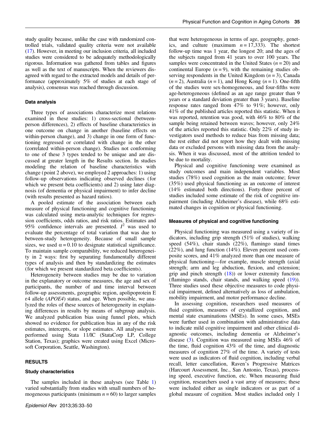study quality because, unlike the case with randomized controlled trials, validated quality criteria were not available [\(17\)](#page-16-0). However, in meeting our inclusion criteria, all included studies were considered to be adequately methodologically rigorous. Information was gathered from tables and figures as well as the text of manuscripts. When the reviewers disagreed with regard to the extracted models and details of performance (approximately 5% of studies at each stage of analysis), consensus was reached through discussion.

### Data analysis

Three types of associations characterize most relations examined in these studies: 1) cross-sectional (betweenperson differences), 2) effects of baseline characteristics in one outcome on change in another (baseline effects on within-person change), and 3) change in one form of functioning regressed or correlated with change in the other (correlated within-person change). Studies not conforming to one of these 3 types tended to be unique and are discussed at greater length in the Results section. In studies modeling the relation of baseline characteristics with change ( point 2 above), we employed 2 approaches: 1) using follow-up observations indicating observed declines (for which we present beta coefficients) and 2) using later diagnosis (of dementia or physical impairment) to infer decline (with results presented as hazard ratios).

A pooled estimate of the association between each measure of physical functioning and cognitive functioning was calculated using meta-analytic techniques for regression coefficients, odds ratios, and risk ratios. Estimates and 95% confidence intervals are presented.  $I^2$  was used to evaluate the percentage of total variation that was due to between-study heterogeneity. Because of small sample sizes, we used  $\alpha = 0.10$  to designate statistical significance. To maintain sample comparability, we reduced heterogeneity in 2 ways: first by separating fundamentally different types of analysis and then by standardizing the estimates (for which we present standardized beta coefficients).

Heterogeneity between studies may be due to variation in the explanatory or outcome measures, the age and sex of participants, the number of and time interval between follow-up assessments, geographic region, apolipoprotein E ɛ4 allele (APOE4) status, and age. When possible, we analyzed the roles of these sources of heterogeneity in explaining differences in results by means of subgroup analysis. We analyzed publication bias using funnel plots, which showed no evidence for publication bias in any of the risk estimates, intercepts, or slope estimates. All analyses were performed using Stata 11/IC (StataCorp LP, College Station, Texas); graphics were created using Excel (Microsoft Corporation, Seattle, Washington).

#### RESULTS

#### Study characteristics

The samples included in these analyses (see Table [1\)](#page-4-0) varied substantially from studies with small numbers of homogeneous participants (minimum  $n = 60$ ) to larger samples

that were heterogeneous in terms of age, geography, genetics, and culture (maximum  $n = 17,333$ ). The shortest follow-up time was 1 year, the longest 20; and the ages of the subjects ranged from 41 years to over 100 years. The samples were concentrated in the United States  $(n = 20)$  and continental Europe  $(n = 9)$ , with the remaining studies observing respondents in the United Kingdom  $(n = 3)$ , Canada  $(n=2)$ , Australia  $(n=1)$ , and Hong Kong  $(n=1)$ . One-fifth of the studies were sex-homogeneous, and four-fifths were age-heterogeneous (defined as an age range greater than 9 years or a standard deviation greater than 3 years). Baseline response rates ranged from 47% to 91%; however, only 41% of the published articles reported this statistic. When it was reported, retention was good, with 46% to 80% of the sample being retained between waves; however, only 24% of the articles reported this statistic. Only 22% of study investigators used methods to reduce bias from missing data; the rest either did not report how they dealt with missing data or excluded persons with missing data from the analysis. When it was discussed, most of the attrition tended to be due to mortality.

Physical and cognitive functioning were examined as study outcomes and main independent variables. Most studies (78%) used cognition as the main outcome; fewer (35%) used physical functioning as an outcome of interest (14% estimated both directions). Forty-three percent of studies included some estimate of the risk of cognitive impairment (including Alzheimer's disease), while 68% estimated changes in cognition or physical functioning.

## Measures of physical and cognitive functioning

Physical functioning was measured using a variety of indicators, including grip strength (51% of studies), walking speed (54%), chair stands (22%), flamingo stand times (22%), and lung function (14%). Eleven percent used composite scores, and 41% analyzed more than one measure of physical functioning—for example, muscle strength (axial strength; arm and leg abduction, flexion, and extension; grip and pinch strength  $(18)$  $(18)$  or lower extremity function (flamingo stands, chair stands, and walking speed ([19](#page-16-0))). Three studies used these objective measures to code physical impairment, defined alternatively as loss of ambulation, mobility impairment, and motor performance decline.

In assessing cognition, researchers used measures of fluid cognition, measures of crystallized cognition, and mental state examinations (MSEs). In some cases, MSEs were further used in combination with administrative data to indicate mild cognitive impairment and other clinical diagnostic outcomes, including dementia or Alzheimer's disease ([3\)](#page-16-0). Cognition was measured using MSEs 46% of the time, fluid cognition 43% of the time, and diagnostic measures of cognition 27% of the time. A variety of tests were used as indicators of fluid cognition, including verbal recall, letter cancellation, Raven's Progressive Matrices (Harcourt Assessment, Inc., San Antonio, Texas), processing speed, executive function, etc. When measuring fluid cognition, researchers used a vast array of measures; these were included either as single indicators or as part of a global measure of cognition. Most studies included only 1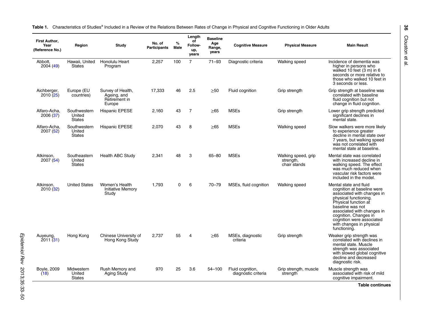| First Author,<br>Year<br>(Reference No.) | Region                                  | Study                                                       | No. of<br><b>Participants</b> | %<br><b>Male</b> | Length<br>of<br><b>Follow-</b><br>up,<br>years | <b>Baseline</b><br>Age<br>Range,<br>years | <b>Cognitive Measure</b>                | <b>Physical Measure</b>                          | <b>Main Result</b>                                                                                                                                                                                                                                                                      |
|------------------------------------------|-----------------------------------------|-------------------------------------------------------------|-------------------------------|------------------|------------------------------------------------|-------------------------------------------|-----------------------------------------|--------------------------------------------------|-----------------------------------------------------------------------------------------------------------------------------------------------------------------------------------------------------------------------------------------------------------------------------------------|
| Abbott,<br>2004 (49)                     | Hawaii, United<br><b>States</b>         | Honolulu Heart<br>Program                                   | 2,257                         | 100              | $\overline{7}$                                 | $71 - 93$                                 | Diagnostic criteria                     | Walking speed                                    | Incidence of dementia was<br>higher in persons who<br>walked 10 feet (3 m) in 6<br>seconds or more relative to<br>those who walked 10 feet in<br>3 seconds or less.                                                                                                                     |
| Aichberger,<br>2010 (25)                 | Europe (EU<br>countries)                | Survey of Health,<br>Ageing, and<br>Retirement in<br>Europe | 17,333                        | 46               | 2.5                                            | >50                                       | Fluid cognition                         | Grip strength                                    | Grip strength at baseline was<br>correlated with baseline<br>fluid cognition but not<br>change in fluid cognition.                                                                                                                                                                      |
| Alfaro-Acha,<br>2006 (37)                | Southwestern<br>United<br><b>States</b> | <b>Hispanic EPESE</b>                                       | 2,160                         | 43               | 7                                              | >65                                       | <b>MSEs</b>                             | Grip strength                                    | Lower grip strength predicted<br>significant declines in<br>mental state.                                                                                                                                                                                                               |
| Alfaro-Acha.<br>2007 (52)                | Southwestern<br>United<br><b>States</b> | <b>Hispanic EPESE</b>                                       | 2,070                         | 43               | 8                                              | $\geq 65$                                 | <b>MSEs</b>                             | Walking speed                                    | Slow walkers were more likely<br>to experience greater<br>decline in mental state over<br>7 years, but walking speed<br>was not correlated with<br>mental state at baseline.                                                                                                            |
| Atkinson.<br>2007 (54)                   | Southeastern<br>United<br><b>States</b> | <b>Health ABC Study</b>                                     | 2.341                         | 48               | 3                                              | $65 - 80$                                 | <b>MSEs</b>                             | Walking speed, grip<br>strength,<br>chair stands | Mental state was correlated<br>with increased decline in<br>walking speed. The effect<br>was much reduced when<br>vascular risk factors were<br>included in the model.                                                                                                                  |
| Atkinson,<br>2010 (32)                   | <b>United States</b>                    | Women's Health<br><b>Initiative Memory</b><br>Study         | 1.793                         | $\Omega$         | 6                                              | $70 - 79$                                 | MSEs, fluid cognition                   | Walking speed                                    | Mental state and fluid<br>cognition at baseline were<br>associated with changes in<br>physical functioning.<br>Physical function at<br>baseline was not<br>associated with changes in<br>cognition. Changes in<br>cognition were associated<br>with changes in physical<br>functioning. |
| Auyeung,<br>2011 (31)                    | Hong Kong                               | Chinese University of<br>Hong Kong Study                    | 2,737                         | 55               | 4                                              | >65                                       | MSEs, diagnostic<br>criteria            | Grip strength                                    | Weaker grip strength was<br>correlated with declines in<br>mental state. Muscle<br>strength was associated<br>with slowed global cognitive<br>decline and decreased<br>diagnostic risk.                                                                                                 |
| <b>Boyle, 2009</b><br>(18)               | Midwestern<br>United<br><b>States</b>   | Rush Memory and<br><b>Aging Study</b>                       | 970                           | 25               | 3.6                                            | $54 - 100$                                | Fluid cognition,<br>diagnostic criteria | Grip strength, muscle<br>strength                | Muscle strength was<br>associated with risk of mild<br>cognitive impairment.                                                                                                                                                                                                            |

<span id="page-4-0"></span>Table 1. Characteristics of Studies<sup>a</sup> Included in a Review of the Relations Between Rates of Change in Physical and Cognitive Functioning in Older Adults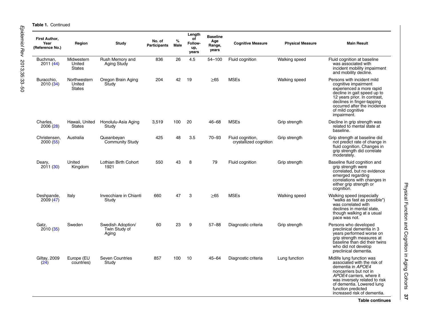**Table 1. Continued** 

| First Author,<br>Year<br>(Reference No.) | Region                                  | <b>Study</b>                                | No. of<br><b>Participants</b> | $\%$<br>Male | Length<br>of<br>Follow-<br>up,<br>vears | <b>Baseline</b><br>Age<br>Range,<br>years | <b>Cognitive Measure</b>                   | <b>Physical Measure</b> | <b>Main Result</b>                                                                                                                                                                                                                                     |
|------------------------------------------|-----------------------------------------|---------------------------------------------|-------------------------------|--------------|-----------------------------------------|-------------------------------------------|--------------------------------------------|-------------------------|--------------------------------------------------------------------------------------------------------------------------------------------------------------------------------------------------------------------------------------------------------|
| Buchman.<br>2011 (44)                    | Midwestern<br>United<br><b>States</b>   | Rush Memory and<br><b>Aging Study</b>       | 836                           | 26           | 4.5                                     | $54 - 100$                                | Fluid cognition                            | Walking speed           | Fluid cognition at baseline<br>was associated with<br>incident mobility impairment<br>and mobility decline.                                                                                                                                            |
| Buracchio.<br>2010(34)                   | Northwestern<br>United<br><b>States</b> | Oregon Brain Aging<br>Study                 | 204                           | 42           | 19                                      | >65                                       | <b>MSEs</b>                                | <b>Walking speed</b>    | Persons with incident mild<br>cognitive impairment<br>experienced a more rapid<br>decline in gait speed up to<br>12 years prior. In contrast,<br>declines in finger-tapping<br>occurred after the incidence<br>of mild cognitive<br>impairment.        |
| Charles,<br>2006 (28)                    | Hawaii, United<br>States                | Honolulu-Asia Aging<br>Study                | 3,519                         | 100          | 20                                      | 46-68                                     | <b>MSEs</b>                                | Grip strength           | Decline in grip strength was<br>related to mental state at<br>baseline.                                                                                                                                                                                |
| Christensen.<br>2000(55)                 | Australia                               | Queanbeyan<br><b>Community Study</b>        | 425                           | 48           | 3.5                                     | $70 - 93$                                 | Fluid cognition,<br>crystallized cognition | Grip strength           | Grip strength at baseline did<br>not predict rate of change in<br>fluid cognition. Changes in<br>grip strength did correlate<br>moderately.                                                                                                            |
| Deary,<br>2011(30)                       | United<br>Kingdom                       | Lothian Birth Cohort<br>1921                | 550                           | 43           | 8                                       | 79                                        | Fluid cognition                            | Grip strength           | Baseline fluid cognition and<br>grip strength were<br>correlated, but no evidence<br>emerged regarding<br>correlations with changes in<br>either grip strength or<br>cognition.                                                                        |
| Deshpande,<br>2009 (47)                  | Italy                                   | Invecchiare in Chianti<br>Study             | 660                           | 47           | 3                                       | >65                                       | <b>MSEs</b>                                | <b>Walking speed</b>    | Walking speed (especially<br>"walks as fast as possible")<br>was correlated with<br>declines in mental state.<br>though walking at a usual<br>pace was not.                                                                                            |
| Gatz,<br>2010 (35)                       | Sweden                                  | Swedish Adoption/<br>Twin Study of<br>Aging | 60                            | 23           | 9                                       | $57 - 88$                                 | Diagnostic criteria                        | Grip strength           | Persons who developed<br>preclinical dementia in 3<br>years performed worse on<br>grip strength measures at<br>baseline than did their twins<br>who did not develop<br>preclinical dementia.                                                           |
| <b>Giltay, 2009</b><br>(24)              | Europe (EU<br>countries)                | <b>Seven Countries</b><br>Study             | 857                           | 100          | 10                                      | $45 - 64$                                 | Diagnostic criteria                        | Lung function           | Midlife lung function was<br>associated with the risk of<br>dementia in APOE4<br>noncarriers but not in<br>APOE4 carriers, where it<br>was inversely related to risk<br>of dementia. Lowered lung<br>function predicted<br>increased risk of dementia. |

Table continues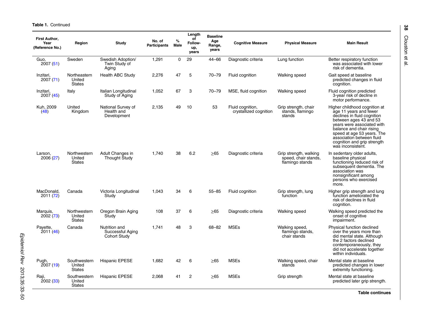**Table 1. Continued** 

| First Author,<br>Year<br>(Reference No.) | Region                                  | Study                                             | No. of<br><b>Participants</b> | %<br><b>Male</b> | Length<br>of<br>Follow-<br>up,<br>years | <b>Baseline</b><br>Age<br>Range,<br>vears | <b>Cognitive Measure</b>                   | <b>Physical Measure</b>                                           | <b>Main Result</b>                                                                                                                                                                                                                                                                        |
|------------------------------------------|-----------------------------------------|---------------------------------------------------|-------------------------------|------------------|-----------------------------------------|-------------------------------------------|--------------------------------------------|-------------------------------------------------------------------|-------------------------------------------------------------------------------------------------------------------------------------------------------------------------------------------------------------------------------------------------------------------------------------------|
| Guo.<br>2007(51)                         | Sweden                                  | Swedish Adoption/<br>Twin Study of<br>Aging       | 1,291                         | $\Omega$         | 29                                      | $44 - 66$                                 | Diagnostic criteria                        | Lung function                                                     | Better respiratory function<br>was associated with lower<br>risk of dementia.                                                                                                                                                                                                             |
| Inzitari,<br>2007 (71)                   | Northeastern<br>United<br><b>States</b> | <b>Health ABC Study</b>                           | 2,276                         | 47               | 5                                       | $70 - 79$                                 | Fluid cognition                            | <b>Walking speed</b>                                              | Gait speed at baseline<br>predicted changes in fluid<br>cognition.                                                                                                                                                                                                                        |
| Inzitari.<br>2007 (45)                   | Italy                                   | Italian Longitudinal<br>Study of Aging            | 1,052                         | 67               | 3                                       | $70 - 79$                                 | MSE, fluid cognition                       | Walking speed                                                     | Fluid cognition predicted<br>3-year risk of decline in<br>motor performance.                                                                                                                                                                                                              |
| Kuh, 2009<br>(48)                        | United<br>Kingdom                       | National Survey of<br>Health and<br>Development   | 2,135                         | 49               | 10                                      | 53                                        | Fluid cognition,<br>crystallized cognition | Grip strength, chair<br>stands, flamingo<br>stands                | Higher childhood cognition at<br>age 11 years and fewer<br>declines in fluid cognition<br>between ages 43 and 53<br>years were associated with<br>balance and chair rising<br>speed at age 53 years. The<br>association between fluid<br>cognition and grip strength<br>was inconsistent. |
| Larson,<br>2006 (27)                     | Northwestern<br>United<br><b>States</b> | Adult Changes in<br><b>Thought Study</b>          | 1.740                         | 38               | 6.2                                     | >65                                       | Diagnostic criteria                        | Grip strength, walking<br>speed, chair stands,<br>flamingo stands | In sedentary older adults,<br>baseline physical<br>functioning reduced risk of<br>subsequent dementia. The<br>association was<br>nonsignificant among<br>persons who exercised<br>more.                                                                                                   |
| MacDonald.<br>2011 (72)                  | Canada                                  | Victoria Longitudinal<br>Study                    | 1.043                         | 34               | 6                                       | $55 - 85$                                 | Fluid cognition                            | Grip strength, lung<br>function                                   | Higher grip strength and lung<br>function ameliorated the<br>risk of declines in fluid<br>cognition.                                                                                                                                                                                      |
| Marquis,<br>2002(73)                     | Northwestern<br>United<br><b>States</b> | Oregon Brain Aging<br>Study                       | 108                           | 37               | 6                                       | >65                                       | Diagnostic criteria                        | <b>Walking speed</b>                                              | Walking speed predicted the<br>onset of cognitive<br>impairment.                                                                                                                                                                                                                          |
| Pavette,<br>2011 (46)                    | Canada                                  | Nutrition and<br>Successful Aging<br>Cohort Study | 1.741                         | 48               | 3                                       | 68-82                                     | <b>MSEs</b>                                | Walking speed,<br>flamingo stands,<br>chair stands                | Physical function declined<br>over the years more than<br>did mental state. Although<br>the 2 factors declined<br>contemporaneously, they<br>did not accelerate together<br>within individuals.                                                                                           |
| Pugh,<br>2007 (19)                       | Southwestern<br>United<br><b>States</b> | Hispanic EPESE                                    | 1,682                         | 42               | 6                                       | >65                                       | <b>MSEs</b>                                | Walking speed, chair<br>stands                                    | Mental state at baseline<br>predicted changes in lower<br>extremity functioning.                                                                                                                                                                                                          |
| Raji,<br>2002(33)                        | Southwestern<br>United<br><b>States</b> | <b>Hispanic EPESE</b>                             | 2,068                         | 41               | $\overline{2}$                          | >65                                       | <b>MSEs</b>                                | Grip strength                                                     | Mental state at baseline<br>predicted later grip strength.                                                                                                                                                                                                                                |

Table continues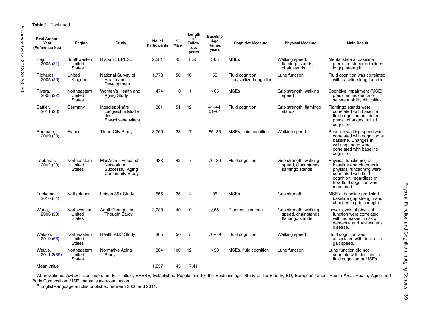**Table 1. Continued** 

| First Author,<br>Year<br>(Reference No.) | Region                                  | Study                                                                          | No. of<br>Participants | $\%$<br><b>Male</b> | Length<br>of<br>Follow-<br>up,<br>years | <b>Baseline</b><br>Age<br>Range,<br>vears | <b>Cognitive Measure</b>                   | <b>Physical Measure</b>                                           | <b>Main Result</b>                                                                                                                                                           |
|------------------------------------------|-----------------------------------------|--------------------------------------------------------------------------------|------------------------|---------------------|-----------------------------------------|-------------------------------------------|--------------------------------------------|-------------------------------------------------------------------|------------------------------------------------------------------------------------------------------------------------------------------------------------------------------|
| Raji,<br>2005(21)                        | Southwestern<br>United<br><b>States</b> | <b>Hispanic EPESE</b>                                                          | 2,381                  | 43                  | 8.25                                    | $\geq 65$                                 | <b>MSEs</b>                                | Walking speed,<br>flamingo stands,<br>chair stands                | Mental state at baseline<br>predicted steeper declines<br>in grip strength.                                                                                                  |
| Richards,<br>2005 (29)                   | United<br>Kingdom                       | National Survey of<br>Health and<br>Development                                | 1,778                  | 50                  | 10                                      | 53                                        | Fluid cognition.<br>crystallized cognition | Lung function                                                     | Fluid cognition was correlated<br>with baseline lung function.                                                                                                               |
| Rivera,<br>2008 (22)                     | Northeastern<br>United<br><b>States</b> | Women's Health and<br><b>Aging Study</b>                                       | 474                    | $\mathbf 0$         | -1                                      | >65                                       | <b>MSEs</b>                                | Grip strength, walking<br>speed                                   | Cognitive impairment (MSE)<br>predicted incidence of<br>severe mobility difficulties.                                                                                        |
| Sattler,<br>2011 (26)                    | Germany                                 | Interdisziplinäre<br>Längsschnittstudie<br>des<br>Erwachsenenalters            | 381                    | 51                  | 12                                      | $41 - 44$ ;<br>$61 - 64$                  | Fluid cognition                            | Grip strength, flamingo<br>stands                                 | Flamingo stands were<br>correlated with baseline<br>fluid cognition but did not<br>predict changes in fluid<br>cognition.                                                    |
| Soumare,<br>2009 (23)                    | France                                  | <b>Three-City Study</b>                                                        | 3,769                  | 38                  | $\overline{7}$                          | $65 - 85$                                 | MSEs, fluid cognition                      | <b>Walking speed</b>                                              | Baseline walking speed was<br>correlated with cognition at<br>baseline. Changes in<br>walking speed were<br>correlated with baseline<br>cognition.                           |
| Tabbarah,<br>2002 (20)                   | Northeastern<br>United<br><b>States</b> | <b>MacArthur Research</b><br>Network on<br>Successful Aging<br>Community Study | 488                    | 42                  | $\overline{7}$                          | $70 - 80$                                 | Fluid cognition                            | Grip strength, walking<br>speed, chair stands,<br>flamingo stands | Physical functioning at<br>baseline and changes in<br>physical functioning were<br>correlated with fluid<br>cognition, regardless of<br>how fluid cognition was<br>measured. |
| Taekema,<br>2010 (74)                    | Netherlands                             | Leiden 85+ Study                                                               | 555                    | 35                  | $\overline{4}$                          | 85                                        | <b>MSEs</b>                                | Grip strength                                                     | MSE at baseline predicted<br>baseline grip strength and<br>changes in grip strength.                                                                                         |
| Wang,<br>2006 (50)                       | Northwestern<br>United<br><b>States</b> | Adult Changes in<br>Thought Study                                              | 2,288                  | 40                  | 9                                       | >65                                       | Diagnostic criteria                        | Grip strength, walking<br>speed, chair stands,<br>flamingo stands | Lower levels of physical<br>function were correlated<br>with increases in risk of<br>dementia and Alzheimer's<br>disease.                                                    |
| Watson,<br>2010(53)                      | Northeastern<br>United<br><b>States</b> | Health ABC Study                                                               | 865                    | 50                  | 5                                       | $70 - 79$                                 | Fluid cognition                            | Walking speed                                                     | Fluid cognition was<br>associated with decline in<br>gait speed.                                                                                                             |
| Weuve,<br>2011 2(36)                     | Northeastern<br>United<br><b>States</b> | Normative Aging<br>Study                                                       | 864                    | 100                 | 12                                      | $\geq 50$                                 | MSEs, fluid cognition                      | Lung function                                                     | Lung function did not<br>correlate with declines in<br>fluid cognition or MSEs.                                                                                              |
| Mean value                               |                                         |                                                                                | 1,857                  | 45                  | 7.41                                    |                                           |                                            |                                                                   |                                                                                                                                                                              |

Abbreviations: APOE4, apolipoprotein E  $\varepsilon$ 4 allele; EPESE, Established Populations for the Epidemiologic Study of the Elderly; EU, European Union; Health ABC, Health, Aging and

Body Composition; MSE, mental state examination. a English-language articles published between 2000 and 2011.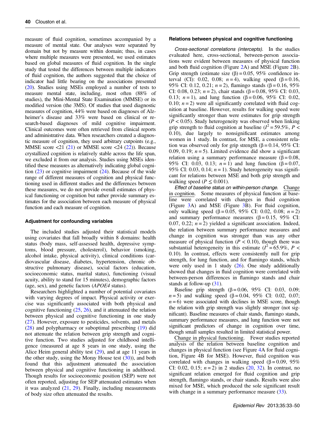measure of fluid cognition, sometimes accompanied by a measure of mental state. Our analyses were separated by domain but not by measure within domain; thus, in cases where multiple measures were presented, we used estimates based on global measures of fluid cognition. In the single study that tested the differences between multiple indicators of fluid cognition, the authors suggested that the choice of indicator had little bearing on the associations presented [\(20\)](#page-16-0). Studies using MSEs employed a number of tests to measure mental state, including, most often (88% of studies), the Mini-Mental State Examination (MMSE) or its modified version (the 3MS). Of studies that used diagnostic measures of cognition, 44% were based on diagnoses of Alzheimer's disease and 33% were based on clinical or research-based diagnoses of mild cognitive impairment. Clinical outcomes were often retrieved from clinical reports and administrative data. When researchers created a diagnostic measure of cognition, they used arbitrary cutpoints (e.g., MMSE score  $\langle 21 \rangle$  [\(21\)](#page-16-0) or MMSE score  $\langle 24 \rangle$  [\(22](#page-16-0))). Because crystallized cognition is relatively stable across the life span, we excluded it from our analysis. Studies using MSEs identified these measures as alternatively indicating global cognition  $(23)$  $(23)$  or cognitive impairment  $(24)$  $(24)$ . Because of the wide range of different measures of cognition and physical functioning used in different studies and the differences between these measures, we do not provide overall estimates of physical functioning or cognition but rather provide summary estimates for the association between each measure of physical function and each measure of cognition.

### Adjustment for confounding variables

The included studies adjusted their statistical models using covariates that fall broadly within 8 domains: health status (body mass, self-assessed health, depressive symptoms, blood pressure, cholesterol), behavior (smoking, alcohol intake, physical activity), clinical conditions (cardiovascular disease, diabetes, hypertension, chronic obstructive pulmonary disease), social factors (education, socioeconomic status, marital status), functioning (visual acuity, ability to stand for 15 minutes), demographic factors (age, sex), and genetic factors (APOE4 status).

Researchers highlighted a number of potential covariates with varying degrees of impact. Physical activity or exercise was significantly associated with both physical and cognitive functioning  $(25, 26)$  $(25, 26)$  $(25, 26)$ , and it attenuated the relation between physical and cognitive functioning in one study [\(27](#page-16-0)). However, exposure to pesticides, solvents, and metals [\(28](#page-16-0)) and polypharmacy or suboptimal prescribing [\(19](#page-16-0)) did not attenuate the relation between grip strength and cognitive function. Two studies adjusted for childhood intelligence (measured at age 8 years in one study, using the Alice Heim general ability test ([29\)](#page-16-0), and at age 11 years in the other study, using the Moray House test  $(30)$  $(30)$ , and both found that this adjustment attenuated the association between physical and cognitive functioning in adulthood. Though results for socioeconomic position (SEP) were not often reported, adjusting for SEP attenuated estimates when it was analyzed  $(21, 29)$  $(21, 29)$  $(21, 29)$  $(21, 29)$  $(21, 29)$ . Finally, including measurements of body size often attenuated the results.

## Relations between physical and cognitive functioning

Cross-sectional correlations (intercepts). In the studies evaluated here, cross-sectional, between-person associations were evident between measures of physical function and both fluid cognition (Figure [2A](#page-9-0)) and MSE (Figure [2](#page-9-0)B). Grip strength (estimate size  $(\beta) = 0.05$ , 95% confidence interval (CI): 0.02, 0.08;  $n = 4$ ), walking speed (β = 0.16, 95% CI: 0.12, 0.21;  $n = 2$ ), flamingo stands (β = 0.16, 95%) CI: 0.08, 0.23;  $n = 2$ ), chair stands ( $\beta = 0.08$ , 95% CI: 0.03, 0.13;  $n = 1$ ), and lung function (β = 0.06, 95% CI: 0.02, 0.10;  $n = 2$ ) were all significantly correlated with fluid cognition at baseline. However, results for walking speed were significantly stronger than were estimates for grip strength  $(P < 0.05)$ . Study heterogeneity was observed when linking grip strength to fluid cognition at baseline ( $l^2$  = 59.5%,  $P \leq$ 0.10), due largely to nonsignificant estimates among women in 1 study. In contrast, for MSE, a consistent relation was observed only for grip strength ( $\beta$  = 0.14, 95% CI: 0.09, 0.19;  $n = 5$ ). Limited evidence did show a significant relation using a summary performance measure ( $β = 0.08$ , 95% CI: 0.03, 0.13;  $n = 1$ ) and lung function ( $\beta = 0.07$ , 95% CI: 0.03, 0.14;  $n = 1$ ). Study heterogeneity was significant for relations between MSE and both grip strength and walking speed ( $P \leq 0.001$ ).

Effect of baseline status on within-person change. Change in cognition. Some measures of physical function at baseline were correlated with changes in fluid cognition (Figure [3A](#page-10-0)) and MSE (Figure [3B](#page-10-0)). For fluid cognition, only walking speed (β = 0.05, 95% CI: 0.02, 0.08;  $n = 2$ ) and summary performance measures  $(\beta = 0.15, 95\% \text{ CI:})$ 0.07, 0.22;  $n = 2$ ) yielded a significant association. Indeed, the relation between summary performance measures and change in cognition was stronger than was any other measure of physical function ( $P < 0.10$ ), though there was substantial heterogeneity in this estimate  $(I^2 = 65.9\%, P <$ 0.10). In contrast, effects were consistently null for grip strength, for lung function, and for flamingo stands, which were only used in 1 study  $(26)$  $(26)$ . One study additionally showed that changes in fluid cognition were correlated with between-person differences in flamingo stands and chair stands at follow-up ([31\)](#page-16-0).

Baseline grip strength  $(\beta = 0.06, 95\% \text{ CI: } 0.03, 0.09;$  $n = 5$ ) and walking speed (β = 0.04, 95% CI: 0.02, 0.07;  $n = 6$ ) were associated with declines in MSE score, though the relation with grip strength was slightly stronger (not significant). Baseline measures of chair stands, flamingo stands, summary performance measures, and lung function were not significant predictors of change in cognition over time, though small samples resulted in limited statistical power.

Change in physical functioning. Fewer studies reported analysis of the relation between baseline cognition and changes in physical function (see Figure [4](#page-11-0)A for fluid cognition, Figure 4B for MSE). However, fluid cognition was correlated with changes in walking speed ( $\beta = 0.09$ , 95% CI: 0.02, 0.15;  $n = 2$ ) in 2 studies [\(20](#page-16-0), [32\)](#page-16-0). In contrast, no significant relation emerged for fluid cognition and grip strength, flamingo stands, or chair stands. Results were also mixed for MSE, which produced the sole significant result with change in a summary performance measure  $(33)$  $(33)$ .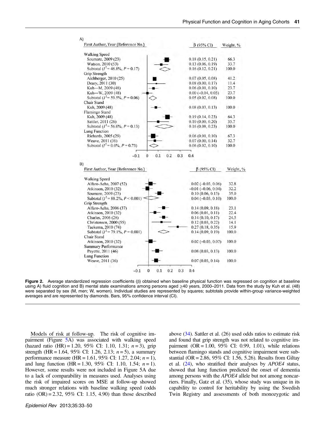<span id="page-9-0"></span>

**Figure 2.** Average standardized regression coefficients (β) obtained when baseline physical function was regressed on cognition at baseline using A) fluid cognition and B) mental state examinations among persons aged ≥40 years, 2000–2011. Data from the study by Kuh et al. (48) were separated by sex (M, men; W, women). Individual studies are represented by squares; subtotals provide within-group variance-weighted averages and are represented by diamonds. Bars, 95% confidence interval (CI).

Models of risk at follow-up. The risk of cognitive im-pairment (Figure [5](#page-12-0)A) was associated with walking speed (hazard ratio  $(HR) = 1.20$ , 95% CI: 1.10, 1.31;  $n = 3$ ), grip strength (HR = 1.64, 95% CI: 1.26, 2.13;  $n = 5$ ), a summary performance measure (HR = 1.61, 95% CI: 1.27, 2.04;  $n = 1$ ), and lung function (HR = 1.30, 95% CI: 1.10, 1.54;  $n = 1$ ). However, some results were not included in Figure 5A due to a lack of comparability in measures used. Analyses using the risk of impaired scores on MSE at follow-up showed much stronger relations with baseline walking speed (odds ratio  $(OR) = 2.32$ , 95% CI: 1.15, 4.90) than those described above ([34](#page-16-0)). Sattler et al. (26) used odds ratios to estimate risk and found that grip strength was not related to cognitive impairment (OR =  $1.00, 95\%$  CI: 0.99, 1.01), while relations between flamingo stands and cognitive impairment were substantial (OR = 2.86, 95% CI: 1.56, 5.26). Results from Giltay et al. ([24](#page-16-0)), who stratified their analyses by APOE4 status, showed that lung function predicted the onset of dementia among persons with the APOE4 allele but not among noncarriers. Finally, Gatz et al. (35), whose study was unique in its capability to control for heritability by using the Swedish Twin Registry and assessments of both monozygotic and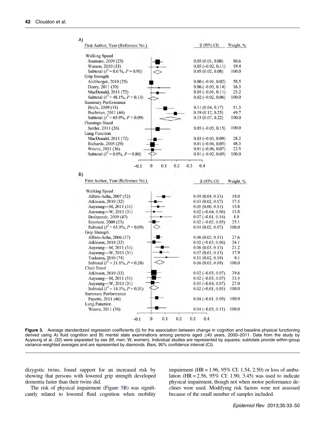<span id="page-10-0"></span>

| First Author, Year (Reference No.)                         | $\beta$ (95% CI)            | Weight, % |
|------------------------------------------------------------|-----------------------------|-----------|
| <b>Walking Speed</b>                                       |                             |           |
| Soumare, 2009 (23)                                         | 0.05(0.01, 0.08)            | 80.6      |
| Watson, 2010 (53)                                          | $0.05(-0.02, 0.11)$         | 19.4      |
| Subtotal ( $I^2 = 0.0 \%$ , $P = 0.93$ )                   | 0.05(0.02, 0.08)            | 100.0     |
| Grip Strength                                              |                             |           |
| Aichberger, 2010 (25)                                      | $0.00 (-0.01, 0.02)$        | 58.5      |
| Deary, 2011 (30)                                           | $0.06(-0.03, 0.14)$         | 16.3      |
| MacDonald, 2011 (72)                                       | $0.05(-0.01, 0.11)$         | 25.2      |
| Subtotal $(I^2 = 48.1\%, P = 0.15)$                        | $0.02$ ( $-0.02$ , $0.06$ ) | 100.0     |
| <b>Summary Performance</b>                                 |                             |           |
| Boyle, 2009 (18)                                           | 0.11(0.04, 0.17)            | 51.3      |
| Buchman, 2011 (44)                                         | 0.19(0.12, 0.25)            | 49.7      |
| Subtotal ( $I^2$ = 65.9%, $P$ = 0.09)                      | 0.15(0.07, 0.22)            | 100.0     |
| <b>Flamingo Stand</b>                                      |                             |           |
|                                                            |                             | 100.0     |
| Sattler, 2011 (26)                                         | $0.05 (-0.05, 0.15)$        |           |
| Lung Function                                              |                             |           |
| MacDonald, 2011 (72)                                       | $0.03(-0.03, 0.09)$         | 28.2      |
| Richards, 2005 (29)                                        | $0.01 (-0.04, 0.05)$        | 48.3      |
| Weuve, 2011 (36)<br>Subtotal $(I^2 = 0.0\%$ , $P = 0.80$ ) | $0.01 (-0.06, 0.07)$        | 23.5      |
|                                                            | $0.01 (-0.02, 0.05)$        | 100.0     |
|                                                            |                             |           |
| First Author, Year (Reference No.)                         | $\beta$ (95% CI)            | Weight, % |
| <b>Walking Speed</b>                                       |                             |           |
| Alfaro-Acha, 2007 (52)                                     | 0.09(0.04, 0.13)            | 19.0      |
| Atkinson, 2010 (32)                                        | 0.03(0.02, 0.07)            | 17.5      |
| Auyeung-M, 2011 (31)                                       | 0.05(0.00, 0.11)            | 15.8      |
| Auyeung-W, 2011 (31)                                       | $0.02$ ( $-0.04$ , $0.08$ ) | 13.8      |
| Deshpande, 2009 (47)                                       | $0.07(-0.01, 0.14)$         | 8.8       |
| Soumare, 2009 (23)                                         | $0.02 (-0.02, 0.05)$        | 25.1      |
| Subtotal $(I^2 = 65.9\%, P = 0.09)$                        | 0.04(0.02, 0.07)            | 100.0     |
| <b>Grip Strength</b>                                       |                             |           |
| Alfaro-Acha, 2006 (37)                                     | 0.06(0.02, 0.11)            | 27.6      |
| Atkinson, 2010 (32)                                        | $0.02$ ( $-0.03$ , $0.06$ ) | 24.1      |
| Auyeung-M, 2011 (31)                                       | 0.08(0.03, 0.13)            | 21.2      |
| Auyeung-W, 2011 (31)                                       | 0.07(0.01, 0.13)            | 17.9      |
| Taekema, 2010 (74)                                         | 0.11(0.02, 0.19)            | 9.1       |
| Subtotal ( $I^2 = 21.8\%$ , $P = 0.28$ )                   | 0.06(0.03, 0.09)            | 100.0     |
| Chair Stand                                                |                             |           |
| Atkinson, 2010 (32)                                        | $0.02 (-0.03, 0.07)$        | 39.6      |
| Auyeung-M, 2011 (31)                                       | $0.02$ ( $-0.03$ , $0.07$ ) | 33.4      |
| Auyeung-W, 2011 (31)                                       | $0.01 (-0.04, 0.07)$        | 27.0      |
| Subtotal $(I^2 = 14.3\%, P = 0.31)$                        | $0.02$ ( $-0.01$ , $0.05$ ) | 100.0     |
| <b>Summary Performance</b>                                 |                             |           |
| Payette, 2011 (46)                                         | $0.04 (-0.01, 0.09)$        | 100.0     |
| Lung Function<br>Weuve, 2011 (36)                          | $0.04 (-0.03, 0.11)$        | 100.0     |

Figure 3. Average standardized regression coefficients (β) for the association between change in cognition and baseline physical functioning derived using A) fluid cognition and B) mental state examinations among persons aged ≥40 years, 2000–2011. Data from the study by Auyeung et al. (32) were separated by sex (M, men; W, women). Individual studies are represented by squares; subtotals provide within-group variance-weighted averages and are represented by diamonds. Bars, 95% confidence interval (CI).

dizygotic twins, found support for an increased risk by showing that persons with lowered grip strength developed dementia faster than their twins did.

The risk of physical impairment (Figure [5](#page-12-0)B) was significantly related to lowered fluid cognition when mobility impairment (HR = 1.96, 95% CI: 1.54, 2.50) or loss of ambulation (HR = 2.56, 95% CI: 1.90, 3.45) was used to indicate physical impairment, though not when motor performance declines were used. Modifying risk factors were not assessed because of the small number of samples included.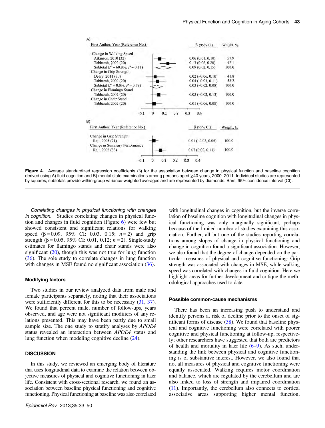<span id="page-11-0"></span>

Figure 4. Average standardized regression coefficients ( $\beta$ ) for the association between change in physical function and baseline cognition derived using A) fluid cognition and B) mental state examinations among persons aged ≥40 years, 2000–2011. Individual studies are represented by squares; subtotals provide within-group variance-weighted averages and are represented by diamonds. Bars, 95% confidence interval (CI).

Correlating changes in physical functioning with changes in cognition. Studies correlating changes in physical function and changes in fluid cognition (Figure [6\)](#page-13-0) were few but showed consistent and significant relations for walking speed  $(\beta = 0.09, 95\% \text{ CI: } 0.03, 0.15; n = 2)$  and grip strength ( $\beta$  = 0.05, 95% CI: 0.01, 0.12;  $n = 2$ ). Single-study estimates for flamingo stands and chair stands were also significant  $(20)$  $(20)$ , though this was not true for lung function [\(36](#page-17-0)). The sole study to correlate changes in lung function with changes in MSE found no significant association ([36\)](#page-17-0).

### Modifying factors

Two studies in our review analyzed data from male and female participants separately, noting that their associations were sufficiently different for this to be necessary  $(31, 37)$  $(31, 37)$  $(31, 37)$  $(31, 37)$ . We found that percent male, number of follow-ups, years observed, and age were not significant modifiers of any relations presented. This may have been partly due to small sample size. The one study to stratify analyses by APOE4 status revealed an interaction between APOE4 status and lung function when modeling cognitive decline [\(24](#page-16-0)).

## **DISCUSSION**

In this study, we reviewed an emerging body of literature that uses longitudinal data to examine the relation between objective measures of physical and cognitive functioning in later life. Consistent with cross-sectional research, we found an association between baseline physical functioning and cognitive functioning. Physical functioning at baseline was also correlated with longitudinal changes in cognition, but the inverse correlation of baseline cognition with longitudinal changes in physical functioning was only marginally significant, perhaps because of the limited number of studies examining this association. Further, all but one of the studies reporting correlations among slopes of change in physical functioning and change in cognition found a significant association. However, we also found that the degree of change depended on the particular measures of physical and cognitive functioning: Grip strength was associated with changes in MSE, while walking speed was correlated with changes in fluid cognition. Here we highlight areas for further development and critique the methodological approaches used to date.

#### Possible common-cause mechanisms

There has been an increasing push to understand and identify persons at risk of decline prior to the onset of significant forms of disease  $(38)$  $(38)$ . We found that baseline physical and cognitive functioning were correlated with poorer cognitive and physical functioning at follow-up, respectively; other researchers have suggested that both are predictors of health and mortality in later life ([6](#page-16-0)–[9\)](#page-16-0). As such, understanding the link between physical and cognitive functioning is of substantive interest. However, we also found that not all measures of physical and cognitive functioning were equally associated. Walking requires motor coordination and balance, which are regulated by the cerebellum and are also linked to loss of strength and impaired coordination [\(11](#page-16-0)). Importantly, the cerebellum also connects to cortical associative areas supporting higher mental function,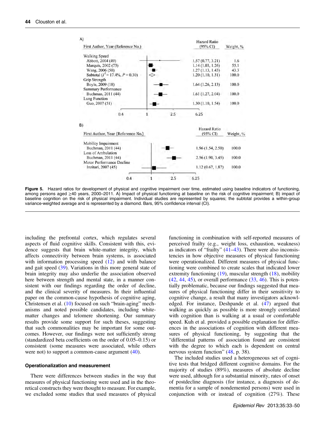<span id="page-12-0"></span>

| A)                                  | <b>Hazard Ratio</b> |           |
|-------------------------------------|---------------------|-----------|
| First Author, Year (Reference No.)  | $(95\% \text{ CI})$ | Weight, % |
| <b>Walking Speed</b>                |                     |           |
| Abbott, 2004 (49)                   | 1.57(0.77, 3.21)    | 1.6       |
| Marquis, 2002 (73)                  | 1.14(1.03, 1.26)    | 55.1      |
| Wang, 2006 (50)                     | 1.27(1.13, 1.43)    | 43.3      |
| Subtotal $(I^2 = 17.4\%, P = 0.30)$ | 1.20(1.10, 1.31)    | 100.0     |
| Grip Strength                       |                     |           |
| Boyle, 2009 (18)                    | 1.64(1.26, 2.13)    | 100.0     |
| <b>Summary Performance</b>          |                     |           |
| Buchman, 2011 (44)                  | 1.61(1.27, 2.04)    | 100.0     |
| <b>Lung Function</b>                |                     |           |
| Guo, 2007 (51)                      | 1.30(1.10, 1.54)    | 100.0     |
|                                     |                     |           |
| 0.4                                 | 2.5<br>6.25         |           |
| B)                                  |                     |           |
|                                     | Hazard Ratio        |           |
| First Author, Year (Reference No.)  | (95% CI)            | Weight, % |
|                                     |                     |           |
| Mobility Impairment                 |                     |           |
| Buchman, 2011 (44)                  | 1.96 (1.54, 2.50)   | 100.0     |
| Loss of Ambulation                  |                     |           |
| Buchman, 2011 (44)                  | 2.56(1.90, 3.45)    | 100.0     |
| Motor Performance Decline           |                     |           |
| Inzitari, 2007 (45)                 | 1.12(0.67, 1.87)    | 100.0     |
|                                     |                     |           |
| 0.4                                 | 2.5<br>6.25         |           |
|                                     |                     |           |

Figure 5. Hazard ratios for development of physical and cognitive impairment over time, estimated using baseline indicators of functioning, among persons aged ≥40 years, 2000–2011. A) Impact of physical functioning at baseline on the risk of cognitive impairment; B) impact of baseline cognition on the risk of physical impairment. Individual studies are represented by squares; the subtotal provides a within-group variance-weighted average and is represented by a diamond. Bars, 95% confidence interval (CI).

including the prefrontal cortex, which regulates several aspects of fluid cognitive skills. Consistent with this, evidence suggests that brain white-matter integrity, which affects connectivity between brain systems, is associated with information processing speed  $(12)$  $(12)$  and with balance and gait speed [\(39](#page-17-0)). Variations in this more general state of brain integrity may also underlie the association observed here between strength and mental state, in a manner consistent with our findings regarding the order of decline, and the clinical severity of measures. In their influential paper on the common-cause hypothesis of cognitive aging, Christensen et al. [\(10](#page-16-0)) focused on such "brain-aging" mechanisms and noted possible candidates, including whitematter changes and telomere shortening. Our summary results provide some support for such theses, suggesting that such commonalities may be important for some outcomes. However, our findings were not sufficiently strong (standardized beta coefficients on the order of 0.05–0.15) or consistent (some measures were associated, while others were not) to support a common-cause argument ([40\)](#page-17-0).

#### Operationalization and measurement

There were differences between studies in the way that measures of physical functioning were used and in the theoretical constructs they were thought to measure. For example, we excluded some studies that used measures of physical functioning in combination with self-reported measures of perceived frailty (e.g., weight loss, exhaustion, weakness) as indicators of "frailty" ([41](#page-17-0)–[43\)](#page-17-0). There were also inconsistencies in how objective measures of physical functioning were operationalized. Different measures of physical functioning were combined to create scales that indicated lower extremity functioning ([19\)](#page-16-0), muscular strength ([18\)](#page-16-0), mobility  $(42, 44, 45)$  $(42, 44, 45)$  $(42, 44, 45)$  $(42, 44, 45)$  $(42, 44, 45)$ , or overall performance  $(33, 46)$  $(33, 46)$  $(33, 46)$ . This is potentially problematic, because our findings suggested that measures of physical functioning differ in their sensitivity to cognitive change, a result that many investigators acknowledged. For instance, Deshpande et al. ([47\)](#page-17-0) argued that walking as quickly as possible is more strongly correlated with cognition than is walking at a usual or comfortable speed. Kuh et al. provided a possible explanation for differences in the associations of cognition with different measures of physical functioning, by suggesting that the "differential patterns of association found are consistent with the degree to which each is dependent on central nervous system function" [\(48](#page-17-0), p. 38).

The included studies used a heterogeneous set of cognitive tests that bridged different cognitive domains. For the majority of studies (89%), measures of absolute decline were used, although for a substantial minority, rates of onset of postdecline diagnosis (for instance, a diagnosis of dementia for a sample of nondemented persons) were used in conjunction with or instead of cognition (27%). These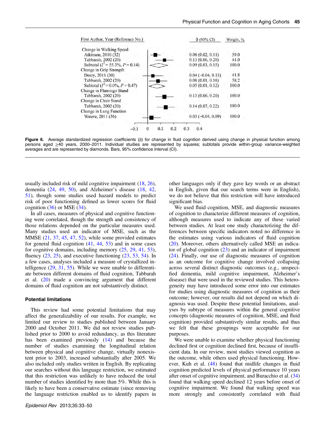<span id="page-13-0"></span>

Figure 6. Average standardized regression coefficients (β) for change in fluid cognition derived using change in physical function among persons aged ≥40 years, 2000–2011. Individual studies are represented by squares; subtotals provide within-group variance-weighted averages and are represented by diamonds. Bars, 95% confidence interval (CI).

usually included risk of mild cognitive impairment [\(18](#page-16-0), [26](#page-16-0)), dementia [\(24](#page-16-0), [49,](#page-17-0) [50](#page-17-0)), and Alzheimer's disease [\(18](#page-16-0), [42,](#page-17-0) [51](#page-17-0)), though some studies used hazard models to predict risk of poor functioning defined as lower scores for fluid cognition  $(36)$  $(36)$  or MSE  $(34)$  $(34)$ .

In all cases, measures of physical and cognitive functioning were correlated, though the strength and consistency of those relations depended on the particular measures used. Many studies used an indicator of MSE, such as the MMSE [\(21,](#page-16-0) [37,](#page-17-0) [45](#page-17-0), [47,](#page-17-0) [52](#page-17-0)), while some provided estimates for general fluid cognition  $(41, 44, 53)$  $(41, 44, 53)$  $(41, 44, 53)$  $(41, 44, 53)$  $(41, 44, 53)$  and in some cases for cognitive domains, including memory [\(25](#page-16-0), [29](#page-16-0), [41](#page-17-0), [53](#page-17-0)), fluency  $(23, 25)$  $(23, 25)$  $(23, 25)$  $(23, 25)$  $(23, 25)$ , and executive functioning  $(23, 53, 54)$  $(23, 53, 54)$  $(23, 53, 54)$  $(23, 53, 54)$ . In a few cases, analyses included a measure of crystallized intelligence ([29,](#page-16-0) [31,](#page-16-0) [55](#page-17-0)). While we were unable to differentiate between different domains of fluid cognition, Tabbarah et al. [\(20](#page-16-0)) made a convincing argument that different domains of fluid cognition are not substantively distinct.

#### Potential limitations

This review had some potential limitations that may affect the generalizability of our results. For example, we limited our review to studies published between January 2000 and October 2011. We did not review studies published prior to 2000 to avoid redundancy, as this literature has been examined previously [\(14](#page-16-0)) and because the number of studies examining the longitudinal relation between physical and cognitive change, virtually nonexistent prior to 2003, increased substantially after 2005. We also included only studies written in English. By replicating our searches without this language restriction, we estimated that this restriction was unlikely to have reduced the total number of studies identified by more than 5%. While this is likely to have been a conservative estimate (since removing the language restriction enabled us to identify papers in

other languages only if they gave key words or an abstract in English, given that our search terms were in English), we do not believe that this restriction will have introduced significant bias.

We used fluid cognition, MSE, and diagnostic measures of cognition to characterize different measures of cognition, although measures used to indicate any of these varied between studies. At least one study characterizing the differences between specific indicators noted no difference in the estimates using various indicators of fluid cognition [\(20](#page-16-0)). Moreover, others alternatively called MSE an indicator of global cognition  $(23)$  $(23)$  and an indicator of impairment [\(24](#page-16-0)). Finally, our use of diagnostic measures of cognition as an outcome for cognitive change involved collapsing across several distinct diagnostic outcomes (e.g., unspecified dementia, mild cognitive impairment, Alzheimer's disease) that were used in the reviewed studies. This heterogeneity may have introduced some error into our estimates for studies using diagnostic measures of cognition as their outcome; however, our results did not depend on which diagnosis was used. Despite these potential limitations, analyses by subtype of measures within the general cognitive concepts (diagnostic measures of cognition, MSE, and fluid cognition) provided substantively similar results, and thus we felt that these groupings were acceptable for our purposes.

We were unable to examine whether physical functioning declined first or cognition declined first, because of insufficient data. In our review, most studies viewed cognition as the outcome, while others used physical functioning. However, Kuh et al. [\(48](#page-17-0)) found that midlife changes in fluid cognition predicted levels of physical performance 10 years after onset of cognitive impairment, and Buracchio et al. ([34\)](#page-16-0) found that walking speed declined 12 years before onset of cognitive impairment. We found that walking speed was more strongly and consistently correlated with fluid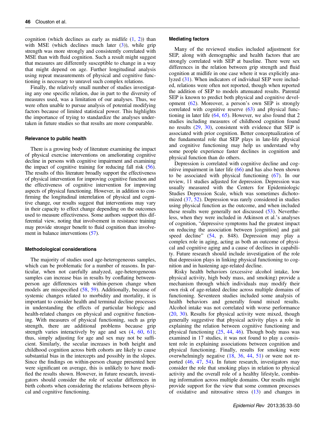cognition (which declines as early as midlife  $(1, 2)$  $(1, 2)$  $(1, 2)$  $(1, 2)$ ) than with MSE (which declines much later  $(3)$  $(3)$ ), while grip strength was more strongly and consistently correlated with MSE than with fluid cognition. Such a result might suggest that measures are differently susceptible to change in a way that might depend on age. Further longitudinal analysis using repeat measurements of physical and cognitive functioning is necessary to unravel such complex relations.

Finally, the relatively small number of studies investigating any one specific relation, due in part to the diversity of measures used, was a limitation of our analyses. Thus, we were often unable to pursue analysis of potential modifying factors because of limited statistical power. This highlights the importance of trying to standardize the analyses undertaken in future studies so that results are more comparable.

## Relevance to public health

There is a growing body of literature examining the impact of physical exercise interventions on ameliorating cognitive decline in persons with cognitive impairment and examining the impact of cognitive training for reducing fall risk ([56](#page-17-0)). The results of this literature broadly support the effectiveness of physical intervention for improving cognitive function and the effectiveness of cognitive intervention for improving aspects of physical functioning. However, in addition to confirming the longitudinal interrelation of physical and cognitive change, our results suggest that interventions may vary in their capacity to effect change depending on the outcomes used to measure effectiveness. Some authors support this differential view, noting that involvement in resistance training may provide stronger benefit to fluid cognition than involvement in balance interventions ([57\)](#page-17-0).

#### Methodological considerations

The majority of studies used age-heterogeneous samples, which can be problematic for a number of reasons. In particular, when not carefully analyzed, age-heterogeneous samples can increase bias in results by conflating betweenperson age differences with within-person change when models are misspecified ([58,](#page-17-0) [59](#page-17-0)). Additionally, because of systemic changes related to morbidity and mortality, it is important to consider health and terminal decline processes in understanding the effects of particular biologic and health-related changes on physical and cognitive functioning. With measures of physical functioning, such as grip strength, there are additional problems because grip strength varies interactively by age and sex  $(4, 60, 61)$  $(4, 60, 61)$  $(4, 60, 61)$  $(4, 60, 61)$  $(4, 60, 61)$  $(4, 60, 61)$ ; thus, simply adjusting for age and sex may not be sufficient. Similarly, the secular increases in both height and childhood cognition across birth cohorts are likely to cause substantial bias in the intercepts and possibly in the slopes. Since the findings on within-person change presented here were significant on average, this is unlikely to have modified the results shown. However, in future research, investigators should consider the role of secular differences in birth cohorts when considering the relations between physical and cognitive functioning.

## Mediating factors

Many of the reviewed studies included adjustment for SEP, along with demographic and health factors that are strongly correlated with SEP at baseline. There were sex differences in the relation between grip strength and fluid cognition at midlife in one case where it was explicitly analyzed ([31\)](#page-16-0). When indicators of individual SEP were included, relations were often not reported, though when reported the addition of SEP to models attenuated results. Parental SEP is known to predict both physical and cognitive development [\(62](#page-17-0)). Moreover, a person's own SEP is strongly correlated with cognitive reserve [\(63](#page-17-0)) and physical functioning in later life  $(64, 65)$  $(64, 65)$  $(64, 65)$ . However, we also found that 2 studies including measures of childhood cognition found no results ([29,](#page-16-0) [30\)](#page-16-0), consistent with evidence that SEP is associated with prior cognition. Better conceptualization of the fundamental role that SEP plays in late-life physical and cognitive functioning may help us understand why some people experience faster declines in cognition and physical function than do others.

Depression is correlated with cognitive decline and cognitive impairment in later life  $(66)$  $(66)$  and has also been shown to be associated with physical functioning [\(67](#page-17-0)). In our review, 11 studies adjusted for depression. Depression was usually measured with the Centers for Epidemiologic Studies Depression Scale, which was sometimes dichotomized [\(37](#page-17-0), [52\)](#page-17-0). Depression was rarely considered in studies using physical function as the outcome, and when included these results were generally not discussed ([53\)](#page-17-0). Nevertheless, when they were included in Atkinson et al.'s analyses of cognition, "depressive symptoms had the greatest impact on reducing the association between [cognition] and gait speed decline" ([54,](#page-17-0) p. 848). Depression may play a complex role in aging, acting as both an outcome of physical and cognitive aging and a cause of declines in capability. Future research should include investigation of the role that depression plays in linking physical functioning to cognition and in hastening age-related decline.

Risky health behaviors (excessive alcohol intake, low physical activity, high body mass, and smoking) provide a mechanism through which individuals may modify their own risk of age-related decline across multiple domains of functioning. Seventeen studies included some analysis of health behaviors and generally found mixed results. Alcohol intake was not correlated with worse performance [\(20](#page-16-0), [30\)](#page-16-0). Results for physical activity were mixed, though generally suggestive that physical activity plays a role in explaining the relation between cognitive functioning and physical functioning  $(25, 44, 46)$  $(25, 44, 46)$  $(25, 44, 46)$  $(25, 44, 46)$  $(25, 44, 46)$ . Though body mass was examined in 17 studies, it was not found to play a consistent role in explaining associations between cognition and physical functioning. Finally, results for smoking were overwhelmingly negative [\(18](#page-16-0), [36,](#page-17-0) [44](#page-17-0), [51\)](#page-17-0) or were not reported ([46,](#page-17-0) [47](#page-17-0), [54](#page-17-0)). In future research, investigators may consider the role that smoking plays in relation to physical activity and the overall role of a healthy lifestyle, combining information across multiple domains. Our results might provide support for the view that some common processes of oxidative and nitrosative stress ([13\)](#page-16-0) and changes in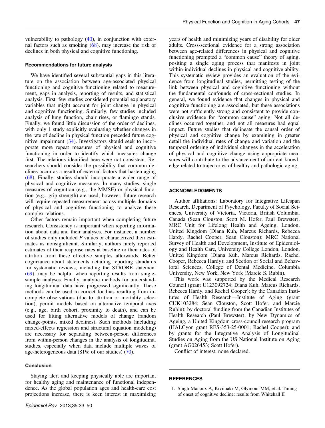<span id="page-15-0"></span>vulnerability to pathology ([40\)](#page-17-0), in conjunction with external factors such as smoking [\(68\)](#page-17-0), may increase the risk of declines in both physical and cognitive functioning.

## Recommendations for future analysis

We have identified several substantial gaps in this literature on the association between age-associated physical functioning and cognitive functioning related to measurement, gaps in analysis, reporting of results, and statistical analysis. First, few studies considered potential explanatory variables that might account for joint change in physical and cognitive functioning. Similarly, few studies included analysis of lung function, chair rises, or flamingo stands. Finally, we found little discussion of the order of declines, with only 1 study explicitly evaluating whether changes in the rate of decline in physical function preceded future cognitive impairment ([34\)](#page-16-0). Investigators should seek to incorporate more repeat measures of physical and cognitive functioning in order to identify which measures change first. The relations identified here were not consistent. Researchers should consider the possibility that common declines occur as a result of external factors that hasten aging [\(68](#page-17-0)). Finally, studies should incorporate a wider range of physical and cognitive measures. In many studies, single measures of cognition (e.g., the MMSE) or physical function (e.g., grip strength) are used; however, future research will require repeated measurement across multiple domains of physical and cognitive functioning to analyze these complex relations.

Other factors remain important when completing future research. Consistency is important when reporting information about data and their analyses. For instance, a number of studies only included P values or characterized their estimates as nonsignificant. Similarly, authors rarely reported estimates of their response rates at baseline or their rates of attrition from these effective samples afterwards. Better cognizance about statements detailing reporting standards for systematic reviews, including the STROBE statement  $(69)$  $(69)$ , may be helpful when reporting results from singlesample analyses. Finally, analytic methods for understanding longitudinal data have progressed significantly. These methods can be used to correct for bias resulting from incomplete observations (due to attrition or mortality selection), permit models based on alternative temporal axes (e.g., age, birth cohort, proximity to death), and can be used for fitting alternative models of change (random change-points, mixed declines). Such methods (including mixed-effects regression and structural equation modeling) are necessary for separating between-person differences from within-person changes in the analysis of longitudinal studies, especially when data include multiple waves of age-heterogeneous data (81% of our studies) ([70\)](#page-17-0).

## **Conclusion**

Staying alert and keeping physically able are important for healthy aging and maintenance of functional independence. As the global population ages and health-care cost projections increase, there is keen interest in maximizing

years of health and minimizing years of disability for older adults. Cross-sectional evidence for a strong association between age-related differences in physical and cognitive functioning prompted a "common cause" theory of aging, positing a single aging process that manifests in joint within-individual declines in physical and cognitive ability. This systematic review provides an evaluation of the evidence from longitudinal studies, permitting testing of the link between physical and cognitive functioning without the fundamental confounds of cross-sectional studies. In general, we found evidence that changes in physical and cognitive functioning are associated, but these associations were not sufficiently strong and consistent to provide conclusive evidence for "common cause" aging. Not all declines occurred together, and not all measures had equal impact. Future studies that delineate the causal order of physical and cognitive change by examining in greater detail the individual rates of change and variation and the temporal ordering of individual changes in the acceleration of physical and cognitive change using appropriate measures will contribute to the advancement of current knowledge related to trajectories of healthy and pathologic aging.

## ACKNOWLEDGMENTS

Author affiliations: Laboratory for Integrative Lifespan Research, Department of Psychology, Faculty of Social Sciences, University of Victoria, Victoria, British Columbia, Canada (Sean Clouston, Scott M. Hofer, Paul Brewster); MRC Unit for Lifelong Health and Ageing, London, United Kingdom (Diana Kuh, Marcus Richards, Rebecca Hardy, Rachel Cooper, Sean Clouston); MRC National Survey of Health and Development, Institute of Epidemiology and Health Care, University College London, London, United Kingdom (Diana Kuh, Marcus Richards, Rachel Cooper, Rebecca Hardy); and Section of Social and Behavioral Sciences, College of Dental Medicine, Columbia University, New York, New York (Marcie S. Rubin).

This work was supported by the Medical Research Council (grant U123092724; Diana Kuh, Marcus Richards, Rebecca Hardy, and Rachel Cooper); by the Canadian Institutes of Health Research—Institute of Aging (grant CUK103284; Sean Clouston, Scott Hofer, and Marcie Rubin); by doctoral funding from the Canadian Institutes of Health Research (Paul Brewster); by New Dynamics of Ageing, a United Kingdom cross-council research program (HALCyon grant RES-353-25-0001; Rachel Cooper); and by grants for the Integrative Analysis of Longitudinal Studies on Aging from the US National Institute on Aging (grant AG026453; Scott Hofer).

Conflict of interest: none declared.

## **REFERENCES**

<sup>1.</sup> Singh-Manoux A, Kivimaki M, Glymour MM, et al. Timing of onset of cognitive decline: results from Whitehall II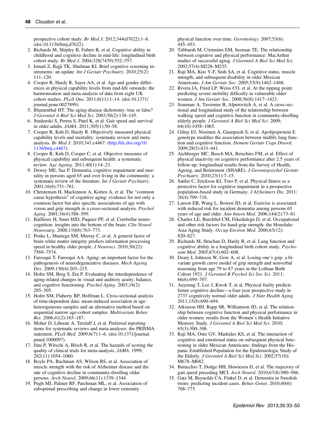<span id="page-16-0"></span>prospective cohort study. Br Med J. 2012;344(d7622):1–8. ([doi:10.1136/bmj.d7622\)](http://dx.doi.org/10.1136/bmj.d7622).

- 2. Richards M, Shipley B, Fuhrer R, et al. Cognitive ability in childhood and cognitive decline in mid-life: longitudinal birth cohort study. Br Med J. 2004;328(7439):552–557.
- 3. Ismail Z, Rajji TK, Shulman KI. Brief cognitive screening instruments: an update. *Int J Geriatr Psychiatry*. 2010;25(2): 111–120.
- 4. Cooper R, Hardy R, Sayer AA, et al. Age and gender differences in physical capability levels from mid-life onwards: the harmonisation and meta-analysis of data from eight UK cohort studies. PLoS One. 2011;6(11):1–14. ([doi:10.1371/](http://dx.doi.org/10.1371/journal.pone.0027899) [journal.pone.0027899](http://dx.doi.org/10.1371/journal.pone.0027899)).
- 5. Blumenthal HT. The aging-disease dichotomy: true or false? J Gerontol A Biol Sci Med Sci. 2003;58(2):138–145.
- 6. Studenski S, Perera S, Patel K, et al. Gait speed and survival in older adults. JAMA. 2011;305(1):50–58.
- 7. Cooper R, Kuh D, Hardy R. Objectively measured physical capability levels and mortality: systematic review and metaanalysis. Br Med J. 2010;341:c4467. [\(http://dx.doi.org/10.](http://dx.doi.org/10.1136/bmj.c4467) [1136/bmj.c4467](http://dx.doi.org/10.1136/bmj.c4467)).
- 8. Cooper R, Kuh D, Cooper C, et al. Objective measures of physical capability and subsequent health: a systematic review. Age Ageing. 2011;40(1):14–23.
- 9. Dewey ME, Saz P. Dementia, cognitive impairment and mortality in persons aged 65 and over living in the community: a systematic review of the literature. Int J Geriatr Psychiatry. 2001;16(8):751–761.
- 10. Christensen H, Mackinnon A, Korten A, et al. The "common cause hypothesis" of cognitive aging: evidence for not only a common factor but also specific associations of age with vision and grip strength in a cross-sectional analysis. Psychol Aging. 2001;16(4):588–599.
- 11. Baillieux H, Smet HJD, Paquier PF, et al. Cerebellar neurocognition: insights into the bottom of the brain. Clin Neurol Neurosurg. 2008;110(8):763–773.
- 12. Penke L, Maniega SM, Murray C, et al. A general factor of brain white matter integrity predicts information processing speed in healthy older people. J Neurosci. 2010;30(22): 7569–7574.
- 13. Farooqui T, Farooqui AA. Aging: an important factor for the pathogenesis of neurodegenerative diseases. Mech Ageing Dev. 2009;130(4):203–215.
- 14. Hofer SM, Berg S, Era P. Evaluating the interdependence of aging-related changes in visual and auditory acuity, balance, and cognitive functioning. Psychol Aging. 2003;18(2): 285–305.
- 15. Hofer SM, Flaherty BP, Hoffman L. Cross-sectional analysis of time-dependent data: mean-induced association in ageheterogeneous samples and an alternative method based on sequential narrow age-cohort samples. Multivariate Behav Res. 2006;41(2):165–187.
- 16. Moher D, Liberati A, Tetzlaff J, et al. Preferred reporting items for systematic reviews and meta-analyses: the PRISMA statement. PLoS Med. 2009;6(7):1–6. [\(doi:10.1371/journal.](http://dx.doi.org/10.1371/journal.pmed.1000097) [pmed.1000097](http://dx.doi.org/10.1371/journal.pmed.1000097)).
- 17. Jüni P, Witschi A, Bloch R, et al. The hazards of scoring the quality of clinical trials for meta-analysis. JAMA. 1999; 282(11):1054–1060.
- 18. Boyle PA, Buchman AS, Wilson RS, et al. Association of muscle strength with the risk of Alzheimer disease and the rate of cognitive decline in community-dwelling older persons. Arch Neurol. 2009;66(11):1339–1344.
- 19. Pugh MJ, Palmer RF, Parchman ML, et al. Association of suboptimal prescribing and change in lower extremity

physical function over time. Gerontology. 2007;53(6): 445–453.

- 20. Tabbarah M, Crimmins EM, Seeman TE. The relationship between cognitive and physical performance: MacArthur studies of successful aging. J Gerontol A Biol Sci Med Sci. 2002;57(4):M228–M235.
- 21. Raji MA, Kuo Y-F, Snih SA, et al. Cognitive status, muscle strength, and subsequent disability in older Mexican Americans. J Am Geriatr Soc. 2005;53(9):1462–1468.
- 22. Rivera JA, Fried LP, Weiss CO, et al. At the tipping point: predicting severe mobility difficulty in vulnerable older women. J Am Geriatr Soc. 2008;56(8):1417–1423.
- 23. Soumare A, Tavernier B, Alperovitch A, et al. A cross-sectional and longitudinal study of the relationship between walking speed and cognitive function in community-dwelling elderly people. J Gerontol A Biol Sci Med Sci. 2009; 64(10):1058–1065.
- 24. Giltay EJ, Nissinen A, Giampaoli S, et al. Apolipoprotein E genotype modifies the association between midlife lung function and cognitive function. Dement Geriatr Cogn Disord. 2009;28(5):433–441.
- 25. Aichberger MC, Busch MA, Reischies FM, et al. Effect of physical inactivity on cognitive performance after 2.5 years of follow-up: longitudinal results from the Survey of Health, Ageing, and Retirement (SHARE). J Gerontopsychol Geriatr Psychiatry. 2010;23(1):7–15.
- 26. Sattler C, Erickson KI, Toro P, et al. Physical fitness as a protective factor for cognitive impairment in a prospective population-based study in Germany. J Alzheimers Dis. 2011; 26(4):709–718.
- 27. Larson EB, Wang L, Bowen JD, et al. Exercise is associated with reduced risk for incident dementia among persons 65 years of age and older. Ann Intern Med. 2006;144(2):73–81.
- 28. Charles LE, Burchfiel CM, Fekedulegn D, et al. Occupational and other risk factors for hand-grip strength: the Honolulu-Asia Aging Study. Occup Environ Med. 2006;63(12): 820–827.
- 29. Richards M, Strachan D, Hardy R, et al. Lung function and cognitive ability in a longitudinal birth cohort study. Psychosom Med. 2005;67(4):602–608.
- 30. Deary I, Johnson W, Gow A, et al. Losing one's grip: a bivariate growth curve model of grip strength and nonverbal reasoning from age 79 to 87 years in the Lothian Birth Cohort 1921. J Gerontol B Psychol Sci Soc Sci. 2011; 66(6):699–707.
- 31. Auyeung T, Lee J, Kwok T, et al. Physical frailty predicts future cognitive decline—a four-year prospective study in 2737 cognitively normal older adults. J Nutr Health Aging. 2011;15(8):690–694.
- 32. Atkinson HH, Rapp SR, Williamson JD, et al. The relationship between cognitive function and physical performance in older women: results from the Women's Health Initiative Memory Study. J Gerontol A Biol Sci Med Sci. 2010; 65(3):300–306.
- 33. Raji MA, Ostir GV, Markides KS, et al. The interaction of cognitive and emotional status on subsequent physical functioning in older Mexican Americans: findings from the Hispanic Established Population for the Epidemiologic Study of the Elderly. J Gerontol A Biol Sci Med Sci. 2002;57(10): M678–M682.
- 34. Buracchio T, Dodge HH, Howieson D, et al. The trajectory of gait speed preceding MCI. Arch Neurol. 2010;67(8):980–986.
- 35. Gatz M, Reynolds CA, Finkel D, et al. Dementia in Swedish twins: predicting incident cases. Behav Genet. 2010;40(6): 768–775.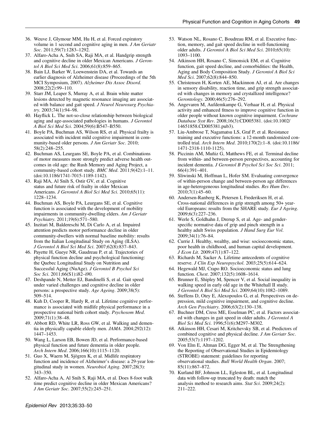- <span id="page-17-0"></span>36. Weuve J, Glymour MM, Hu H, et al. Forced expiratory volume in 1 second and cognitive aging in men. J Am Geriatr Soc. 2011;59(7):1283-1292.
- 37. Alfaro-Acha A, Snih SA, Raji MA, et al. Handgrip strength and cognitive decline in older Mexican Americans. J Gerontol A Biol Sci Med Sci. 2006;61(8):859–865.
- 38. Bain LJ, Barker W, Loewenstein DA, et al. Towards an earlier diagnosis of Alzheimer disease (Proceedings of the 5th MCI Symposium, 2007). Alzheimer Dis Assoc Disord. 2008;22(2):99–110.
- 39. Starr JM, Leaper S, Murray A, et al. Brain white matter lesions detected by magnetic resonance imaging are associated with balance and gait speed. J Neurol Neurosurg Psychiatry. 2003;74(1):94–98.
- 40. Hayflick L. The not-so-close relationship between biological aging and age-associated pathologies in humans. J Gerontol A Biol Sci Med Sci. 2004;59(6):B547–B550.
- 41. Boyle PA, Buchman AS, Wilson RS, et al. Physical frailty is associated with incident mild cognitive impairment in community-based older persons. J Am Geriatr Soc. 2010; 58(2):248–255.
- 42. Buchman AS, Leurgans SE, Boyle PA, et al. Combinations of motor measures more strongly predict adverse health outcomes in old age: the Rush Memory and Aging Project, a community-based cohort study. BMC Med. 2011;9(42):1-11. ([doi:10.1186/1741-7015-1189-1142\)](http://dx.doi.org/10.1186/1741-7015-1189-1142).
- 43. Raji MA, Al Snih S, Ostir GV, et al. Cognitive status and future risk of frailty in older Mexican Americans. J Gerontol A Biol Sci Med Sci. 2010;65(11): 1228–1234.
- 44. Buchman AS, Boyle PA, Leurgans SE, et al. Cognitive function is associated with the development of mobility impairments in community-dwelling elders. Am J Geriatr Psychiatry. 2011;19(6):571–580.
- 45. Inzitari M, Baldereschi M, Di Carlo A, et al. Impaired attention predicts motor performance decline in older community-dwellers with normal baseline mobility: results from the Italian Longitudinal Study on Aging (ILSA). J Gerontol A Biol Sci Med Sci. 2007;62(8):837–843.
- 46. Payette H, Gueye NR, Gaudreau P, et al. Trajectories of physical function decline and psychological functioning: the Quebec Longitudinal Study on Nutrition and Successful Aging (NuAge). J Gerontol B Psychol Sci Soc Sci. 2011;66(S1):i82–i90.
- 47. Deshpande N, Metter EJ, Bandinelli S, et al. Gait speed under varied challenges and cognitive decline in older persons: a prospective study. Age Ageing. 2009;38(5): 509–514.
- 48. Kuh D, Cooper R, Hardy R, et al. Lifetime cognitive performance is associated with midlife physical performance in a prospective national birth cohort study. Psychosom Med. 2009;71(1):38–48.
- 49. Abbott RD, White LR, Ross GW, et al. Walking and dementia in physically capable elderly men. JAMA. 2004;292(12): 1447–1453.
- 50. Wang L, Larson EB, Bowen JD, et al. Performance-based physical function and future dementia in older people. Arch Intern Med. 2006;166(10):1115–1120.
- 51. Guo X, Waern M, Sjögren K, et al. Midlife respiratory function and incidence of Alzheimer's disease: a 29-year longitudinal study in women. Neurobiol Aging. 2007;28(3): 343–350.
- 52. Alfaro-Acha A, Al Snih S, Raji MA, et al. Does 8-foot walk time predict cognitive decline in older Mexican Americans? J Am Geriatr Soc. 2007;55(2):245–251.
- 53. Watson NL, Rosano C, Boudreau RM, et al. Executive function, memory, and gait speed decline in well-functioning older adults. J Gerontol A Biol Sci Med Sci. 2010;65(10): 1093–1100.
- 54. Atkinson HH, Rosano C, Simonsick EM, et al. Cognitive function, gait speed decline, and comorbidities: the Health, Aging and Body Composition Study. J Gerontol A Biol Sci Med Sci. 2007;62(8):844–850.
- 55. Christensen H, Korten AE, Mackinnon AJ, et al. Are changes in sensory disability, reaction time, and grip strength associated with changes in memory and crystallized intelligence? Gerontology. 2000;46(5):276–292.
- 56. Angevaren M, Aufdemkampe G, Verhaar H, et al. Physical activity and enhanced fitness to improve cognitive function in older people without known cognitive impairment. Cochrane Database Syst Rev. 2008;16(3):CD005381. ([doi:10.1002/](http://dx.doi.org/10.1002/14651858.CD005381.pub3) [14651858.CD005381.pub3\)](http://dx.doi.org/10.1002/14651858.CD005381.pub3).
- 57. Liu-Ambrose T, Nagamatsu LS, Graf P, et al. Resistance training and executive functions: a 12-month randomized controlled trial. Arch Intern Med. 2010;170(2):1–8. [\(doi:10.1186/](http://dx.doi.org/10.1186/1471-2318-1110-1125) [1471-2318-1110-1125](http://dx.doi.org/10.1186/1471-2318-1110-1125)).
- 58. Piccinin AM, Muñiz G, Matthews FE, et al. Terminal decline from within- and between-person perspectives, accounting for incident dementia. J Gerontol B Psychol Sci Soc Sci. 2011; 66(4):391–401.
- 59. Sliwinski M, Hoffman L, Hofer SM. Evaluating convergence of within-person change and between-person age differences in age-heterogeneous longitudinal studies. Res Hum Dev. 2010;7(1):45–60.
- 60. Andersen-Ranberg K, Petersen I, Frederiksen H, et al. Cross-national differences in grip strength among 50+ yearold Europeans: results from the SHARE study. Eur J Ageing. 2009;6(3):227–236.
- 61. Werle S, Goldhahn J, Drerup S, et al. Age- and genderspecific normative data of grip and pinch strength in a healthy adult Swiss population. J Hand Surg Eur Vol. 2009;34(1):76–84.
- 62. Currie J. Healthy, wealthy, and wise: socioeconomic status, poor health in childhood, and human capital development. J Econ Lit. 2009;47(1):87–122.
- 63. Richards M, Sacker A. Lifetime antecedents of cognitive reserve. J Clin Exp Neuropsychol. 2003;25(5):614–624.
- 64. Hegewald MJ, Crapo RO. Socioeconomic status and lung function. Chest. 2007;132(5):1608–1614.
- 65. Brunner E, Shipley M, Spencer V, et al. Social inequality in walking speed in early old age in the Whitehall II study. J Gerontol A Biol Sci Med Sci. 2009;64(10):1082–1089.
- 66. Steffens D, Otey E, Alexopoulos G, et al. Perspectives on depression, mild cognitive impairment, and cognitive decline. Arch Gen Psychiatry. 2006;63(2):130–138.
- 67. Buchner DM, Cress ME, Esselman PC, et al. Factors associated with changes in gait speed in older adults. J Gerontol A Biol Sci Med Sci. 1996;51(6):M297–M302.
- 68. Atkinson HH, Cesari M, Kritchevsky SB, et al. Predictors of combined cognitive and physical decline. J Am Geriatr Soc. 2005;53(7):1197–1202.
- 69. Von Elm E, Altman DG, Egger M, et al. The Strengthening the Reporting of Observational Studies in Epidemiology (STROBE) statement: guidelines for reporting observational studies. Bull World Health Organ. 2007; 85(11):867–872.
- 70. Kurland BF, Johnson LL, Egleston BL, et al. Longitudinal data with follow-up truncated by death: match the analysis method to research aims. Stat Sci. 2009;24(2): 211–222.